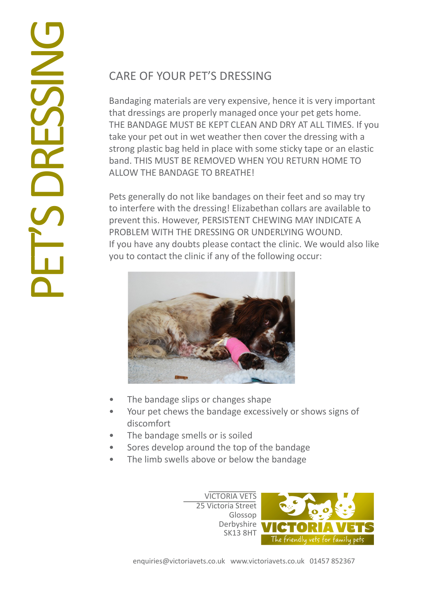## CARE OF YOUR PET'S DRESSING

Bandaging materials are very expensive, hence it is very important that dressings are properly managed once your pet gets home. THE BANDAGE MUST BE KEPT CLEAN AND DRY AT ALL TIMES. If you take your pet out in wet weather then cover the dressing with a strong plastic bag held in place with some sticky tape or an elastic band. THIS MUST BE REMOVED WHEN YOU RETURN HOME TO ALLOW THE BANDAGE TO BREATHE!

Pets generally do not like bandages on their feet and so may try to interfere with the dressing! Elizabethan collars are available to prevent this. However, PERSISTENT CHEWING MAY INDICATE A PROBLEM WITH THE DRESSING OR UNDERLYING WOUND. If you have any doubts please contact the clinic. We would also like you to contact the clinic if any of the following occur:



- The bandage slips or changes shape
- Your pet chews the bandage excessively or shows signs of discomfort
- The bandage smells or is soiled
- Sores develop around the top of the bandage
- The limb swells above or below the bandage

VICTORIA VETS 25 Victoria Street Glossop Derbyshire SK13 8HT

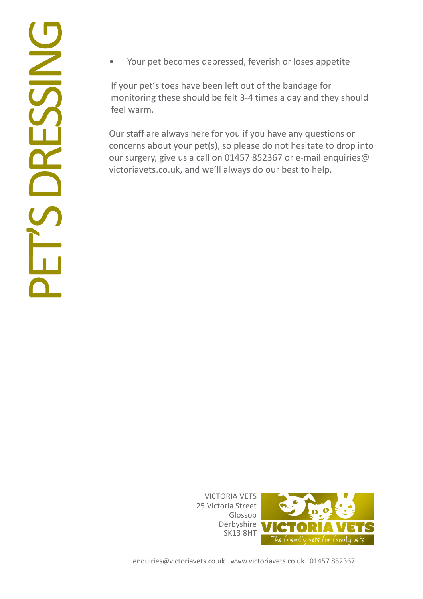• Your pet becomes depressed, feverish or loses appetite

If your pet's toes have been left out of the bandage for monitoring these should be felt 3-4 times a day and they should feel warm.

Our staff are always here for you if you have any questions or concerns about your pet(s), so please do not hesitate to drop into our surgery, give us a call on 01457 852367 or e-mail enquiries@ victoriavets.co.uk, and we'll always do our best to help.